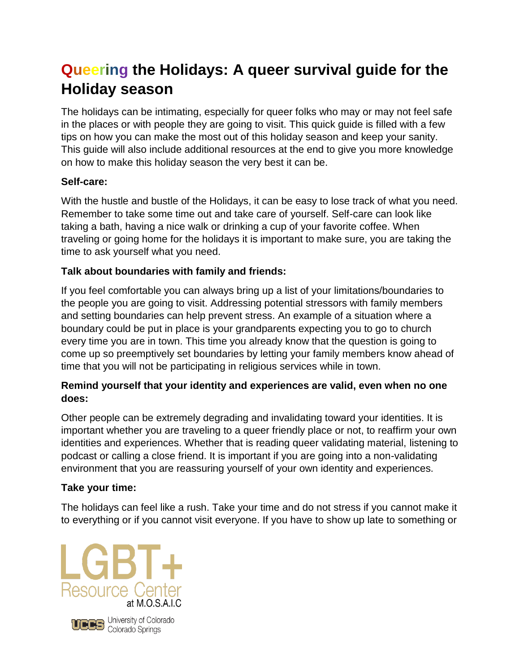# **Queering the Holidays: A queer survival guide for the Holiday season**

The holidays can be intimating, especially for queer folks who may or may not feel safe in the places or with people they are going to visit. This quick guide is filled with a few tips on how you can make the most out of this holiday season and keep your sanity. This guide will also include additional resources at the end to give you more knowledge on how to make this holiday season the very best it can be.

# **Self-care:**

With the hustle and bustle of the Holidays, it can be easy to lose track of what you need. Remember to take some time out and take care of yourself. Self-care can look like taking a bath, having a nice walk or drinking a cup of your favorite coffee. When traveling or going home for the holidays it is important to make sure, you are taking the time to ask yourself what you need.

# **Talk about boundaries with family and friends:**

If you feel comfortable you can always bring up a list of your limitations/boundaries to the people you are going to visit. Addressing potential stressors with family members and setting boundaries can help prevent stress. An example of a situation where a boundary could be put in place is your grandparents expecting you to go to church every time you are in town. This time you already know that the question is going to come up so preemptively set boundaries by letting your family members know ahead of time that you will not be participating in religious services while in town.

# **Remind yourself that your identity and experiences are valid, even when no one does:**

Other people can be extremely degrading and invalidating toward your identities. It is important whether you are traveling to a queer friendly place or not, to reaffirm your own identities and experiences. Whether that is reading queer validating material, listening to podcast or calling a close friend. It is important if you are going into a non-validating environment that you are reassuring yourself of your own identity and experiences.

# **Take your time:**

The holidays can feel like a rush. Take your time and do not stress if you cannot make it to everything or if you cannot visit everyone. If you have to show up late to something or





**UDBS** University of Colorado<br>Colorado Springs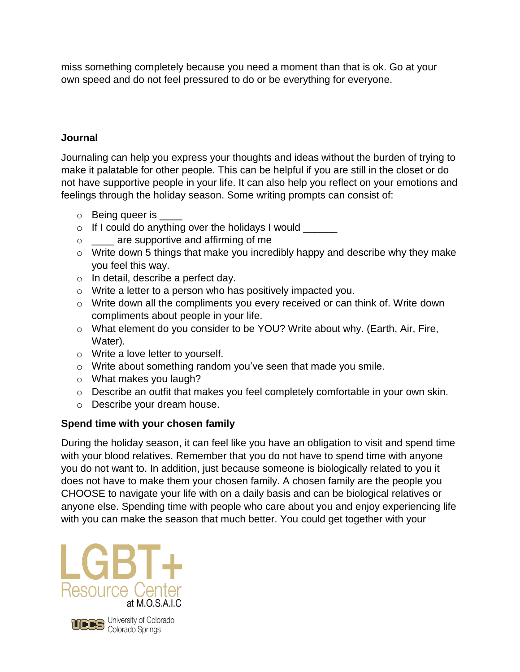miss something completely because you need a moment than that is ok. Go at your own speed and do not feel pressured to do or be everything for everyone.

### **Journal**

Journaling can help you express your thoughts and ideas without the burden of trying to make it palatable for other people. This can be helpful if you are still in the closet or do not have supportive people in your life. It can also help you reflect on your emotions and feelings through the holiday season. Some writing prompts can consist of:

- $\circ$  Being queer is
- $\circ$  If I could do anything over the holidays I would  $\frac{1}{\sqrt{1-\frac{1}{\sqrt{1-\frac{1}{\sqrt{1-\frac{1}{\sqrt{1-\frac{1}{\sqrt{1-\frac{1}{\sqrt{1-\frac{1}{\sqrt{1-\frac{1}{\sqrt{1-\frac{1}{\sqrt{1-\frac{1}{\sqrt{1-\frac{1}{\sqrt{1-\frac{1}{\sqrt{1-\frac{1}{\sqrt{1-\frac{1}{\sqrt{1-\frac{1}{\sqrt{1-\frac{1}{\sqrt{1-\frac{1}{\sqrt{1-\frac{1}{\sqrt{1-\frac{1$
- o \_\_\_\_ are supportive and affirming of me
- $\circ$  Write down 5 things that make you incredibly happy and describe why they make you feel this way.
- o In detail, describe a perfect day.
- o Write a letter to a person who has positively impacted you.
- o Write down all the compliments you every received or can think of. Write down compliments about people in your life.
- o What element do you consider to be YOU? Write about why. (Earth, Air, Fire, Water).
- o Write a love letter to yourself.
- o Write about something random you've seen that made you smile.
- o What makes you laugh?
- o Describe an outfit that makes you feel completely comfortable in your own skin.
- o Describe your dream house.

#### **Spend time with your chosen family**

During the holiday season, it can feel like you have an obligation to visit and spend time with your blood relatives. Remember that you do not have to spend time with anyone you do not want to. In addition, just because someone is biologically related to you it does not have to make them your chosen family. A chosen family are the people you CHOOSE to navigate your life with on a daily basis and can be biological relatives or anyone else. Spending time with people who care about you and enjoy experiencing life with you can make the season that much better. You could get together with your





UCCS University of Colorado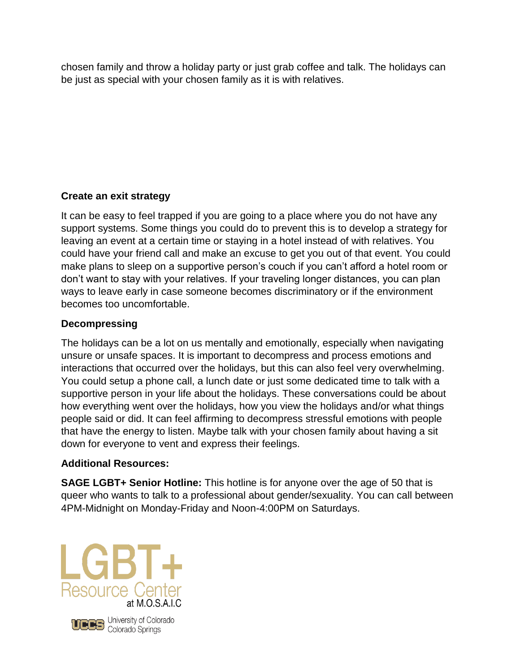chosen family and throw a holiday party or just grab coffee and talk. The holidays can be just as special with your chosen family as it is with relatives.

# **Create an exit strategy**

It can be easy to feel trapped if you are going to a place where you do not have any support systems. Some things you could do to prevent this is to develop a strategy for leaving an event at a certain time or staying in a hotel instead of with relatives. You could have your friend call and make an excuse to get you out of that event. You could make plans to sleep on a supportive person's couch if you can't afford a hotel room or don't want to stay with your relatives. If your traveling longer distances, you can plan ways to leave early in case someone becomes discriminatory or if the environment becomes too uncomfortable.

# **Decompressing**

The holidays can be a lot on us mentally and emotionally, especially when navigating unsure or unsafe spaces. It is important to decompress and process emotions and interactions that occurred over the holidays, but this can also feel very overwhelming. You could setup a phone call, a lunch date or just some dedicated time to talk with a supportive person in your life about the holidays. These conversations could be about how everything went over the holidays, how you view the holidays and/or what things people said or did. It can feel affirming to decompress stressful emotions with people that have the energy to listen. Maybe talk with your chosen family about having a sit down for everyone to vent and express their feelings.

# **Additional Resources:**

**SAGE LGBT+ Senior Hotline:** This hotline is for anyone over the age of 50 that is queer who wants to talk to a professional about gender/sexuality. You can call between 4PM-Midnight on Monday-Friday and Noon-4:00PM on Saturdays.





**UDBS** University of Colorado<br>Colorado Springs